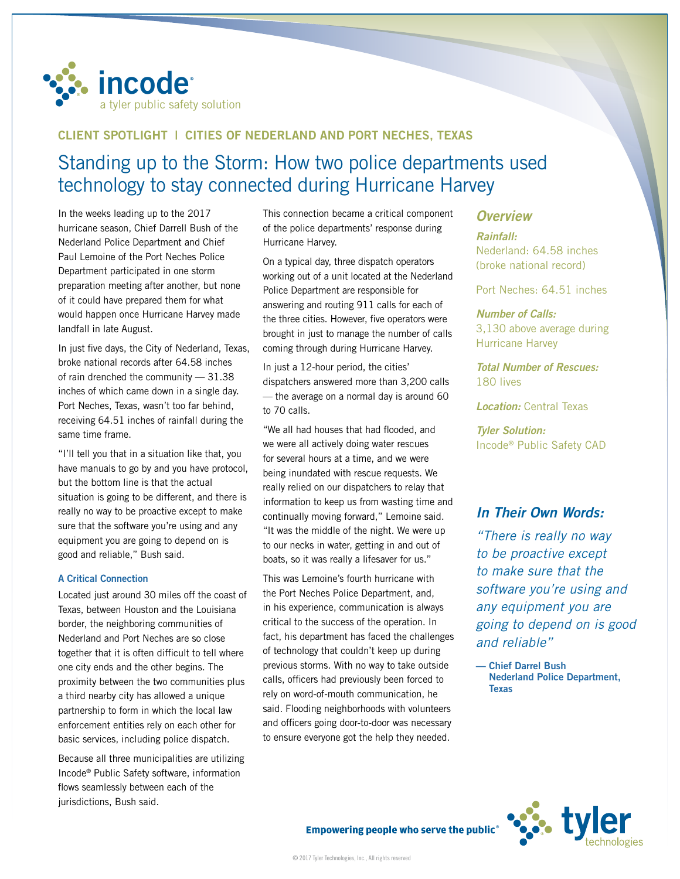

### **CLIENT SPOTLIGHT | CITIES OF NEDERLAND AND PORT NECHES, TEXAS**

# Standing up to the Storm: How two police departments used technology to stay connected during Hurricane Harvey

In the weeks leading up to the 2017 hurricane season, Chief Darrell Bush of the Nederland Police Department and Chief Paul Lemoine of the Port Neches Police Department participated in one storm preparation meeting after another, but none of it could have prepared them for what would happen once Hurricane Harvey made landfall in late August.

In just five days, the City of Nederland, Texas, broke national records after 64.58 inches of rain drenched the community — 31.38 inches of which came down in a single day. Port Neches, Texas, wasn't too far behind, receiving 64.51 inches of rainfall during the same time frame.

"I'll tell you that in a situation like that, you have manuals to go by and you have protocol, but the bottom line is that the actual situation is going to be different, and there is really no way to be proactive except to make sure that the software you're using and any equipment you are going to depend on is good and reliable," Bush said.

#### **A Critical Connection**

Located just around 30 miles off the coast of Texas, between Houston and the Louisiana border, the neighboring communities of Nederland and Port Neches are so close together that it is often difficult to tell where one city ends and the other begins. The proximity between the two communities plus a third nearby city has allowed a unique partnership to form in which the local law enforcement entities rely on each other for basic services, including police dispatch.

Because all three municipalities are utilizing Incode® Public Safety software, information flows seamlessly between each of the jurisdictions, Bush said.

This connection became a critical component of the police departments' response during Hurricane Harvey.

On a typical day, three dispatch operators working out of a unit located at the Nederland Police Department are responsible for answering and routing 911 calls for each of the three cities. However, five operators were brought in just to manage the number of calls coming through during Hurricane Harvey.

In just a 12-hour period, the cities' dispatchers answered more than 3,200 calls — the average on a normal day is around 60 to 70 calls.

"We all had houses that had flooded, and we were all actively doing water rescues for several hours at a time, and we were being inundated with rescue requests. We really relied on our dispatchers to relay that information to keep us from wasting time and continually moving forward," Lemoine said. "It was the middle of the night. We were up to our necks in water, getting in and out of boats, so it was really a lifesaver for us."

This was Lemoine's fourth hurricane with the Port Neches Police Department, and, in his experience, communication is always critical to the success of the operation. In fact, his department has faced the challenges of technology that couldn't keep up during previous storms. With no way to take outside calls, officers had previously been forced to rely on word-of-mouth communication, he said. Flooding neighborhoods with volunteers and officers going door-to-door was necessary to ensure everyone got the help they needed.

#### *Overview*

*Rainfall:*  Nederland: 64.58 inches (broke national record)

Port Neches: 64.51 inches

*Number of Calls:*  3,130 above average during Hurricane Harvey

*Total Number of Rescues:* 180 lives

**Location: Central Texas** 

*Tyler Solution:*  Incode® Public Safety CAD

## *In Their Own Words:*

*"There is really no way to be proactive except to make sure that the software you're using and any equipment you are going to depend on is good and reliable"* 

**— Chief Darrel Bush Nederland Police Department, Texas**



**Empowering people who serve the public<sup>®</sup>**